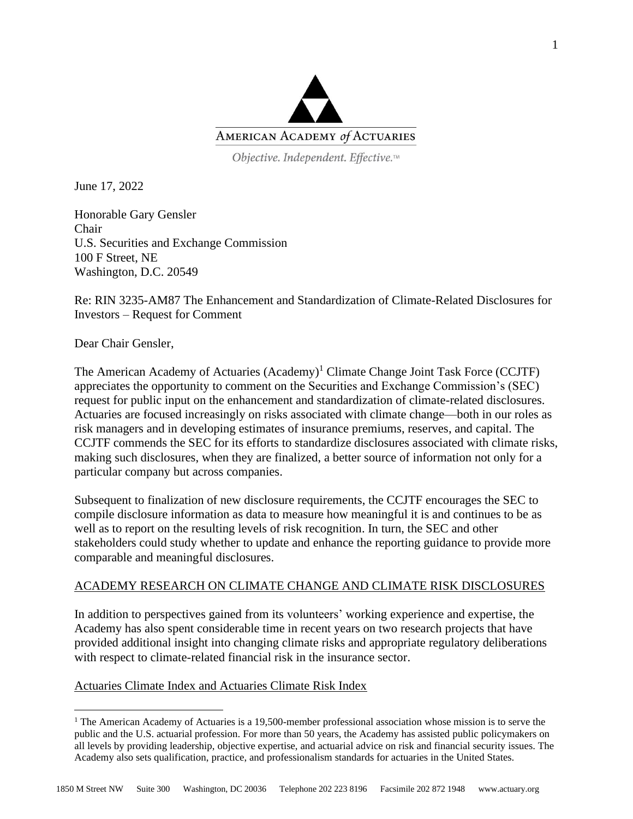

Objective. Independent. Effective.™

June 17, 2022

Honorable Gary Gensler Chair U.S. Securities and Exchange Commission 100 F Street, NE Washington, D.C. 20549

Re: RIN 3235-AM87 The Enhancement and Standardization of Climate-Related Disclosures for Investors – Request for Comment

Dear Chair Gensler,

The American Academy of Actuaries (Academy)<sup>1</sup> Climate Change Joint Task Force (CCJTF) appreciates the opportunity to comment on the Securities and Exchange Commission's (SEC) request for public input on the enhancement and standardization of climate-related disclosures. Actuaries are focused increasingly on risks associated with climate change—both in our roles as risk managers and in developing estimates of insurance premiums, reserves, and capital. The CCJTF commends the SEC for its efforts to standardize disclosures associated with climate risks, making such disclosures, when they are finalized, a better source of information not only for a particular company but across companies.

Subsequent to finalization of new disclosure requirements, the CCJTF encourages the SEC to compile disclosure information as data to measure how meaningful it is and continues to be as well as to report on the resulting levels of risk recognition. In turn, the SEC and other stakeholders could study whether to update and enhance the reporting guidance to provide more comparable and meaningful disclosures.

# ACADEMY RESEARCH ON CLIMATE CHANGE AND CLIMATE RISK DISCLOSURES

In addition to perspectives gained from its volunteers' working experience and expertise, the Academy has also spent considerable time in recent years on two research projects that have provided additional insight into changing climate risks and appropriate regulatory deliberations with respect to climate-related financial risk in the insurance sector.

# Actuaries Climate Index and Actuaries Climate Risk Index

<sup>&</sup>lt;sup>1</sup> The American Academy of Actuaries is a 19,500-member professional association whose mission is to serve the public and the U.S. actuarial profession. For more than 50 years, the Academy has assisted public policymakers on all levels by providing leadership, objective expertise, and actuarial advice on risk and financial security issues. The Academy also sets qualification, practice, and professionalism standards for actuaries in the United States.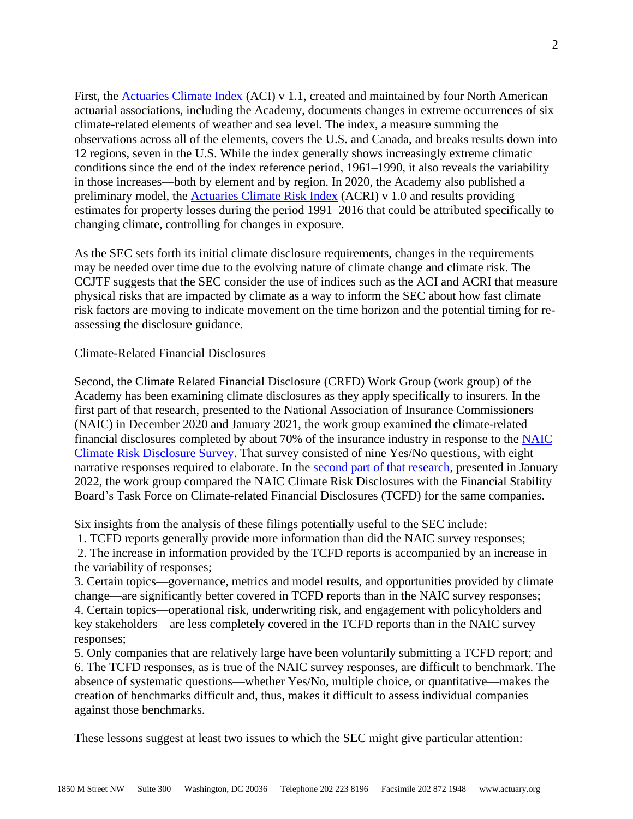First, the [Actuaries Climate Index](https://actuariesclimateindex.org/home/) (ACI) v 1.1, created and maintained by four North American actuarial associations, including the Academy, documents changes in extreme occurrences of six climate-related elements of weather and sea level. The index, a measure summing the observations across all of the elements, covers the U.S. and Canada, and breaks results down into 12 regions, seven in the U.S. While the index generally shows increasingly extreme climatic conditions since the end of the index reference period, 1961–1990, it also reveals the variability in those increases—both by element and by region. In 2020, the Academy also published a preliminary model, the [Actuaries Climate Risk Index](https://www.actuary.org/sites/default/files/2020-01/ACRI.pdf) (ACRI) v 1.0 and results providing estimates for property losses during the period 1991–2016 that could be attributed specifically to changing climate, controlling for changes in exposure.

As the SEC sets forth its initial climate disclosure requirements, changes in the requirements may be needed over time due to the evolving nature of climate change and climate risk. The CCJTF suggests that the SEC consider the use of indices such as the ACI and ACRI that measure physical risks that are impacted by climate as a way to inform the SEC about how fast climate risk factors are moving to indicate movement on the time horizon and the potential timing for reassessing the disclosure guidance.

### Climate-Related Financial Disclosures

Second, the Climate Related Financial Disclosure (CRFD) Work Group (work group) of the Academy has been examining climate disclosures as they apply specifically to insurers. In the first part of that research, presented to the National Association of Insurance Commissioners (NAIC) in December 2020 and January 2021, the work group examined the climate-related financial disclosures completed by about 70% of the insurance industry in response to the [NAIC](http://www.insurance.ca.gov/0250-insurers/0300-insurers/0100-applications/ClimateSurvey/)  [Climate Risk Disclosure Survey.](http://www.insurance.ca.gov/0250-insurers/0300-insurers/0100-applications/ClimateSurvey/) That survey consisted of nine Yes/No questions, with eight narrative responses required to elaborate. In the [second part of that research,](https://www.actuary.org/sites/default/files/2022-01/20220110FFF%20TCFD%20and%20NAIC%20Survey%20Responses%20Compared.pdf) presented in January 2022, the work group compared the NAIC Climate Risk Disclosures with the Financial Stability Board's Task Force on Climate-related Financial Disclosures (TCFD) for the same companies.

Six insights from the analysis of these filings potentially useful to the SEC include:

1. TCFD reports generally provide more information than did the NAIC survey responses;

2. The increase in information provided by the TCFD reports is accompanied by an increase in the variability of responses;

3. Certain topics—governance, metrics and model results, and opportunities provided by climate change—are significantly better covered in TCFD reports than in the NAIC survey responses; 4. Certain topics—operational risk, underwriting risk, and engagement with policyholders and key stakeholders—are less completely covered in the TCFD reports than in the NAIC survey responses;

5. Only companies that are relatively large have been voluntarily submitting a TCFD report; and 6. The TCFD responses, as is true of the NAIC survey responses, are difficult to benchmark. The absence of systematic questions—whether Yes/No, multiple choice, or quantitative—makes the creation of benchmarks difficult and, thus, makes it difficult to assess individual companies against those benchmarks.

These lessons suggest at least two issues to which the SEC might give particular attention: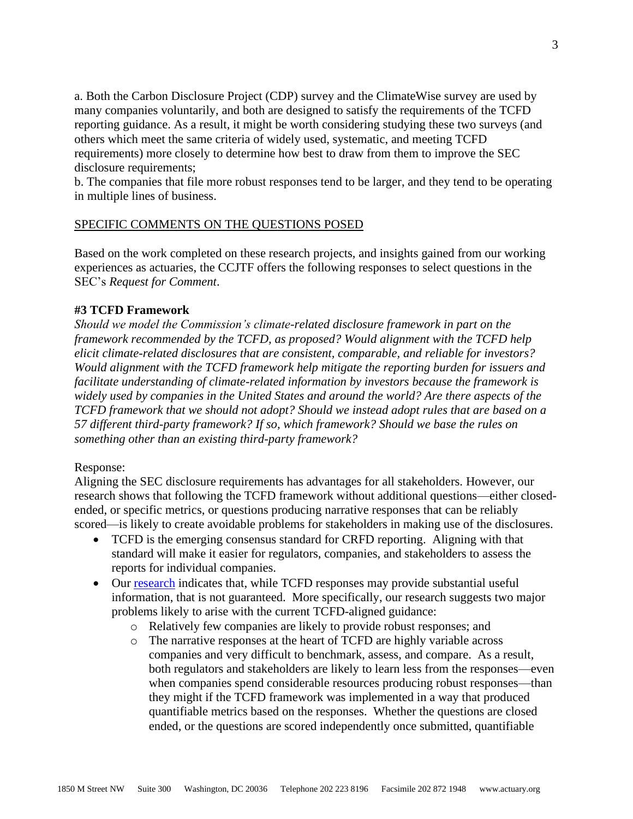a. Both the Carbon Disclosure Project (CDP) survey and the ClimateWise survey are used by many companies voluntarily, and both are designed to satisfy the requirements of the TCFD reporting guidance. As a result, it might be worth considering studying these two surveys (and others which meet the same criteria of widely used, systematic, and meeting TCFD requirements) more closely to determine how best to draw from them to improve the SEC disclosure requirements;

b. The companies that file more robust responses tend to be larger, and they tend to be operating in multiple lines of business.

# SPECIFIC COMMENTS ON THE QUESTIONS POSED

Based on the work completed on these research projects, and insights gained from our working experiences as actuaries, the CCJTF offers the following responses to select questions in the SEC's *Request for Comment*.

## **#3 TCFD Framework**

*Should we model the Commission's climate-related disclosure framework in part on the framework recommended by the TCFD, as proposed? Would alignment with the TCFD help elicit climate-related disclosures that are consistent, comparable, and reliable for investors? Would alignment with the TCFD framework help mitigate the reporting burden for issuers and facilitate understanding of climate-related information by investors because the framework is widely used by companies in the United States and around the world? Are there aspects of the TCFD framework that we should not adopt? Should we instead adopt rules that are based on a 57 different third-party framework? If so, which framework? Should we base the rules on something other than an existing third-party framework?*

### Response:

Aligning the SEC disclosure requirements has advantages for all stakeholders. However, our research shows that following the TCFD framework without additional questions—either closedended, or specific metrics, or questions producing narrative responses that can be reliably scored—is likely to create avoidable problems for stakeholders in making use of the disclosures.

- TCFD is the emerging consensus standard for CRFD reporting. Aligning with that standard will make it easier for regulators, companies, and stakeholders to assess the reports for individual companies.
- Our [research](https://www.actuary.org/sites/default/files/202201/20220110FFF%20TCFD%20and%20NAIC%20Survey%20Responses%20Compared.pdf) indicates that, while TCFD responses may provide substantial useful information, that is not guaranteed. More specifically, our research suggests two major problems likely to arise with the current TCFD-aligned guidance:
	- o Relatively few companies are likely to provide robust responses; and
	- o The narrative responses at the heart of TCFD are highly variable across companies and very difficult to benchmark, assess, and compare. As a result, both regulators and stakeholders are likely to learn less from the responses—even when companies spend considerable resources producing robust responses—than they might if the TCFD framework was implemented in a way that produced quantifiable metrics based on the responses. Whether the questions are closed ended, or the questions are scored independently once submitted, quantifiable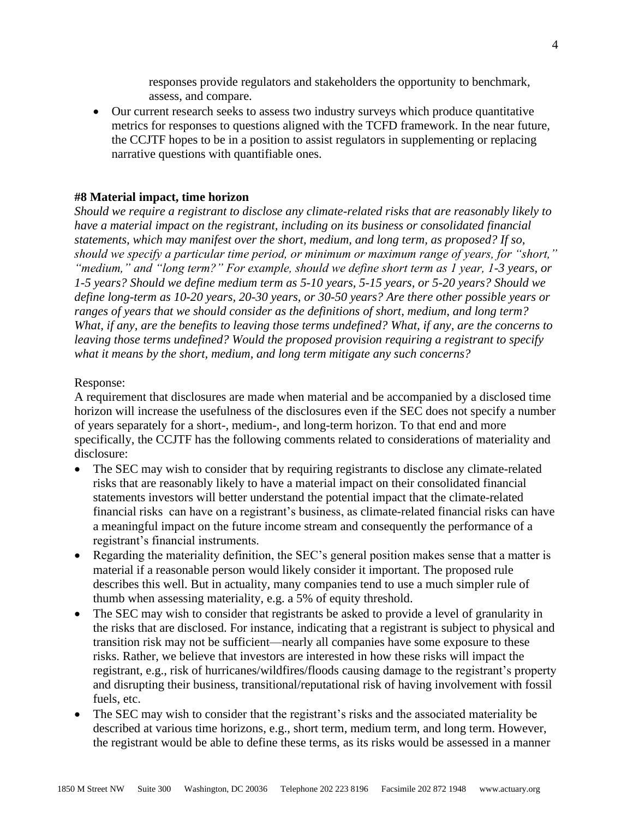responses provide regulators and stakeholders the opportunity to benchmark, assess, and compare.

• Our current research seeks to assess two industry surveys which produce quantitative metrics for responses to questions aligned with the TCFD framework. In the near future, the CCJTF hopes to be in a position to assist regulators in supplementing or replacing narrative questions with quantifiable ones.

#### **#8 Material impact, time horizon**

*Should we require a registrant to disclose any climate-related risks that are reasonably likely to have a material impact on the registrant, including on its business or consolidated financial statements, which may manifest over the short, medium, and long term, as proposed? If so, should we specify a particular time period, or minimum or maximum range of years, for "short," "medium," and "long term?" For example, should we define short term as 1 year, 1-3 years, or 1-5 years? Should we define medium term as 5-10 years, 5-15 years, or 5-20 years? Should we define long-term as 10-20 years, 20-30 years, or 30-50 years? Are there other possible years or ranges of years that we should consider as the definitions of short, medium, and long term? What, if any, are the benefits to leaving those terms undefined? What, if any, are the concerns to leaving those terms undefined? Would the proposed provision requiring a registrant to specify what it means by the short, medium, and long term mitigate any such concerns?*

#### Response:

A requirement that disclosures are made when material and be accompanied by a disclosed time horizon will increase the usefulness of the disclosures even if the SEC does not specify a number of years separately for a short-, medium-, and long-term horizon. To that end and more specifically, the CCJTF has the following comments related to considerations of materiality and disclosure:

- The SEC may wish to consider that by requiring registrants to disclose any climate-related risks that are reasonably likely to have a material impact on their consolidated financial statements investors will better understand the potential impact that the climate-related financial risks can have on a registrant's business, as climate-related financial risks can have a meaningful impact on the future income stream and consequently the performance of a registrant's financial instruments.
- Regarding the materiality definition, the SEC's general position makes sense that a matter is material if a reasonable person would likely consider it important. The proposed rule describes this well. But in actuality, many companies tend to use a much simpler rule of thumb when assessing materiality, e.g. a 5% of equity threshold.
- The SEC may wish to consider that registrants be asked to provide a level of granularity in the risks that are disclosed. For instance, indicating that a registrant is subject to physical and transition risk may not be sufficient—nearly all companies have some exposure to these risks. Rather, we believe that investors are interested in how these risks will impact the registrant, e.g., risk of hurricanes/wildfires/floods causing damage to the registrant's property and disrupting their business, transitional/reputational risk of having involvement with fossil fuels, etc.
- The SEC may wish to consider that the registrant's risks and the associated materiality be described at various time horizons, e.g., short term, medium term, and long term. However, the registrant would be able to define these terms, as its risks would be assessed in a manner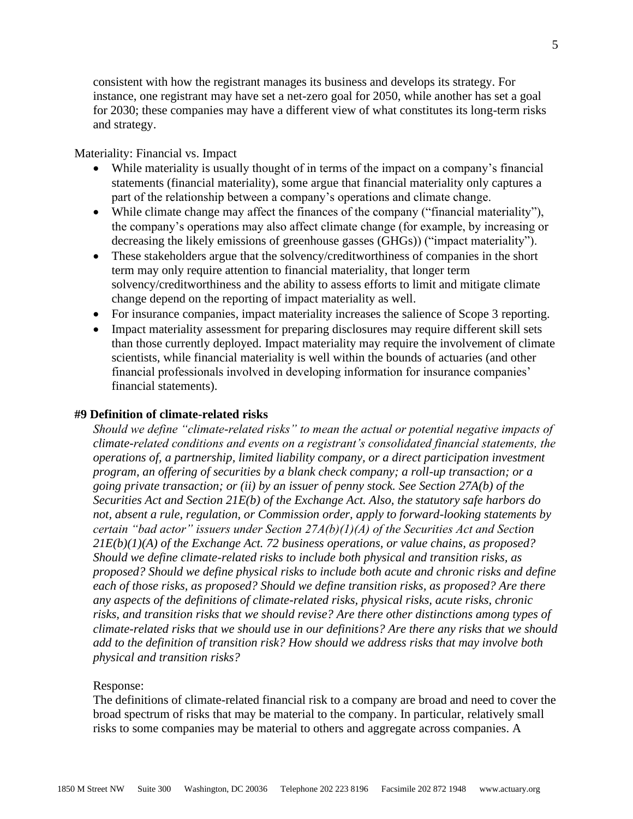consistent with how the registrant manages its business and develops its strategy. For instance, one registrant may have set a net-zero goal for 2050, while another has set a goal for 2030; these companies may have a different view of what constitutes its long-term risks and strategy.

### Materiality: Financial vs. Impact

- While materiality is usually thought of in terms of the impact on a company's financial statements (financial materiality), some argue that financial materiality only captures a part of the relationship between a company's operations and climate change.
- While climate change may affect the finances of the company ("financial materiality"), the company's operations may also affect climate change (for example, by increasing or decreasing the likely emissions of greenhouse gasses (GHGs)) ("impact materiality").
- These stakeholders argue that the solvency/creditworthiness of companies in the short term may only require attention to financial materiality, that longer term solvency/creditworthiness and the ability to assess efforts to limit and mitigate climate change depend on the reporting of impact materiality as well.
- For insurance companies, impact materiality increases the salience of Scope 3 reporting.
- Impact materiality assessment for preparing disclosures may require different skill sets than those currently deployed. Impact materiality may require the involvement of climate scientists, while financial materiality is well within the bounds of actuaries (and other financial professionals involved in developing information for insurance companies' financial statements).

### **#9 Definition of climate-related risks**

*Should we define "climate-related risks" to mean the actual or potential negative impacts of climate-related conditions and events on a registrant's consolidated financial statements, the operations of, a partnership, limited liability company, or a direct participation investment program, an offering of securities by a blank check company; a roll-up transaction; or a going private transaction; or (ii) by an issuer of penny stock. See Section 27A(b) of the Securities Act and Section 21E(b) of the Exchange Act. Also, the statutory safe harbors do not, absent a rule, regulation, or Commission order, apply to forward-looking statements by certain "bad actor" issuers under Section 27A(b)(1)(A) of the Securities Act and Section 21E(b)(1)(A) of the Exchange Act. 72 business operations, or value chains, as proposed? Should we define climate-related risks to include both physical and transition risks, as proposed? Should we define physical risks to include both acute and chronic risks and define each of those risks, as proposed? Should we define transition risks, as proposed? Are there any aspects of the definitions of climate-related risks, physical risks, acute risks, chronic risks, and transition risks that we should revise? Are there other distinctions among types of climate-related risks that we should use in our definitions? Are there any risks that we should add to the definition of transition risk? How should we address risks that may involve both physical and transition risks?*

#### Response:

The definitions of climate-related financial risk to a company are broad and need to cover the broad spectrum of risks that may be material to the company. In particular, relatively small risks to some companies may be material to others and aggregate across companies. A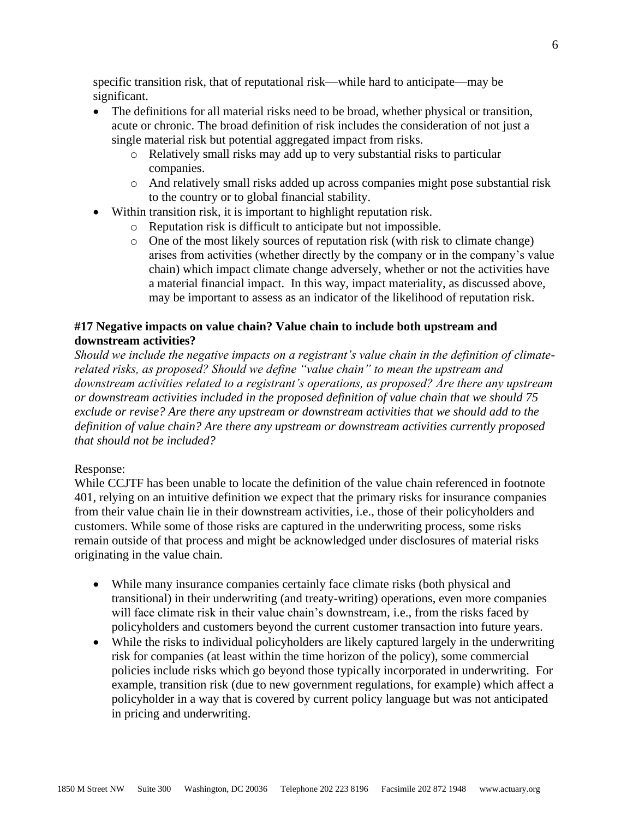specific transition risk, that of reputational risk—while hard to anticipate—may be significant.

- The definitions for all material risks need to be broad, whether physical or transition, acute or chronic. The broad definition of risk includes the consideration of not just a single material risk but potential aggregated impact from risks.
	- o Relatively small risks may add up to very substantial risks to particular companies.
	- o And relatively small risks added up across companies might pose substantial risk to the country or to global financial stability.
- Within transition risk, it is important to highlight reputation risk.
	- o Reputation risk is difficult to anticipate but not impossible.
	- o One of the most likely sources of reputation risk (with risk to climate change) arises from activities (whether directly by the company or in the company's value chain) which impact climate change adversely, whether or not the activities have a material financial impact. In this way, impact materiality, as discussed above, may be important to assess as an indicator of the likelihood of reputation risk.

# **#17 Negative impacts on value chain? Value chain to include both upstream and downstream activities?**

*Should we include the negative impacts on a registrant's value chain in the definition of climaterelated risks, as proposed? Should we define "value chain" to mean the upstream and downstream activities related to a registrant's operations, as proposed? Are there any upstream or downstream activities included in the proposed definition of value chain that we should 75 exclude or revise? Are there any upstream or downstream activities that we should add to the definition of value chain? Are there any upstream or downstream activities currently proposed that should not be included?*

# Response:

While CCJTF has been unable to locate the definition of the value chain referenced in footnote 401, relying on an intuitive definition we expect that the primary risks for insurance companies from their value chain lie in their downstream activities, i.e., those of their policyholders and customers. While some of those risks are captured in the underwriting process, some risks remain outside of that process and might be acknowledged under disclosures of material risks originating in the value chain.

- While many insurance companies certainly face climate risks (both physical and transitional) in their underwriting (and treaty-writing) operations, even more companies will face climate risk in their value chain's downstream, i.e., from the risks faced by policyholders and customers beyond the current customer transaction into future years.
- While the risks to individual policyholders are likely captured largely in the underwriting risk for companies (at least within the time horizon of the policy), some commercial policies include risks which go beyond those typically incorporated in underwriting. For example, transition risk (due to new government regulations, for example) which affect a policyholder in a way that is covered by current policy language but was not anticipated in pricing and underwriting.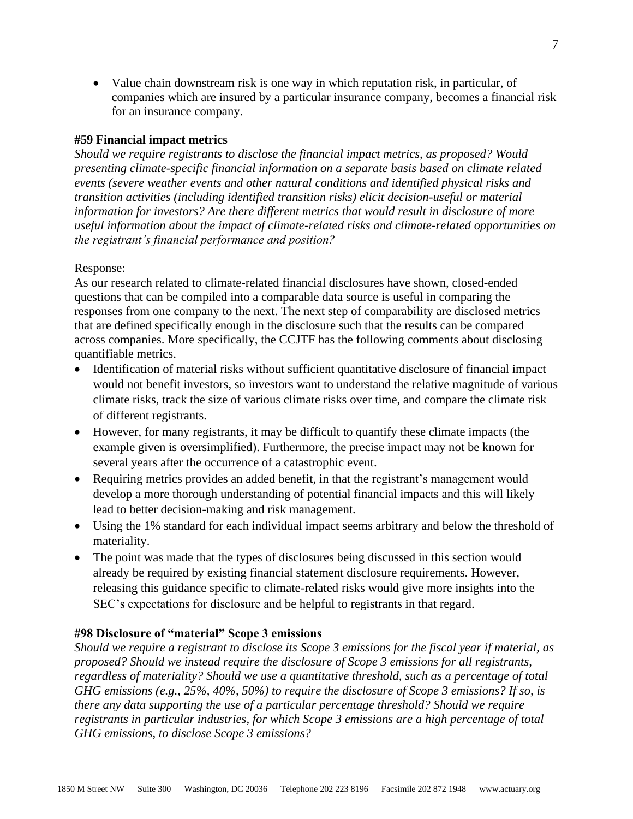• Value chain downstream risk is one way in which reputation risk, in particular, of companies which are insured by a particular insurance company, becomes a financial risk for an insurance company.

# **#59 Financial impact metrics**

*Should we require registrants to disclose the financial impact metrics, as proposed? Would presenting climate-specific financial information on a separate basis based on climate related events (severe weather events and other natural conditions and identified physical risks and transition activities (including identified transition risks) elicit decision-useful or material information for investors? Are there different metrics that would result in disclosure of more useful information about the impact of climate-related risks and climate-related opportunities on the registrant's financial performance and position?*

### Response:

As our research related to climate-related financial disclosures have shown, closed-ended questions that can be compiled into a comparable data source is useful in comparing the responses from one company to the next. The next step of comparability are disclosed metrics that are defined specifically enough in the disclosure such that the results can be compared across companies. More specifically, the CCJTF has the following comments about disclosing quantifiable metrics.

- Identification of material risks without sufficient quantitative disclosure of financial impact would not benefit investors, so investors want to understand the relative magnitude of various climate risks, track the size of various climate risks over time, and compare the climate risk of different registrants.
- However, for many registrants, it may be difficult to quantify these climate impacts (the example given is oversimplified). Furthermore, the precise impact may not be known for several years after the occurrence of a catastrophic event.
- Requiring metrics provides an added benefit, in that the registrant's management would develop a more thorough understanding of potential financial impacts and this will likely lead to better decision-making and risk management.
- Using the 1% standard for each individual impact seems arbitrary and below the threshold of materiality.
- The point was made that the types of disclosures being discussed in this section would already be required by existing financial statement disclosure requirements. However, releasing this guidance specific to climate-related risks would give more insights into the SEC's expectations for disclosure and be helpful to registrants in that regard.

### **#98 Disclosure of "material" Scope 3 emissions**

*Should we require a registrant to disclose its Scope 3 emissions for the fiscal year if material, as proposed? Should we instead require the disclosure of Scope 3 emissions for all registrants, regardless of materiality? Should we use a quantitative threshold, such as a percentage of total GHG emissions (e.g., 25%, 40%, 50%) to require the disclosure of Scope 3 emissions? If so, is there any data supporting the use of a particular percentage threshold? Should we require registrants in particular industries, for which Scope 3 emissions are a high percentage of total GHG emissions, to disclose Scope 3 emissions?*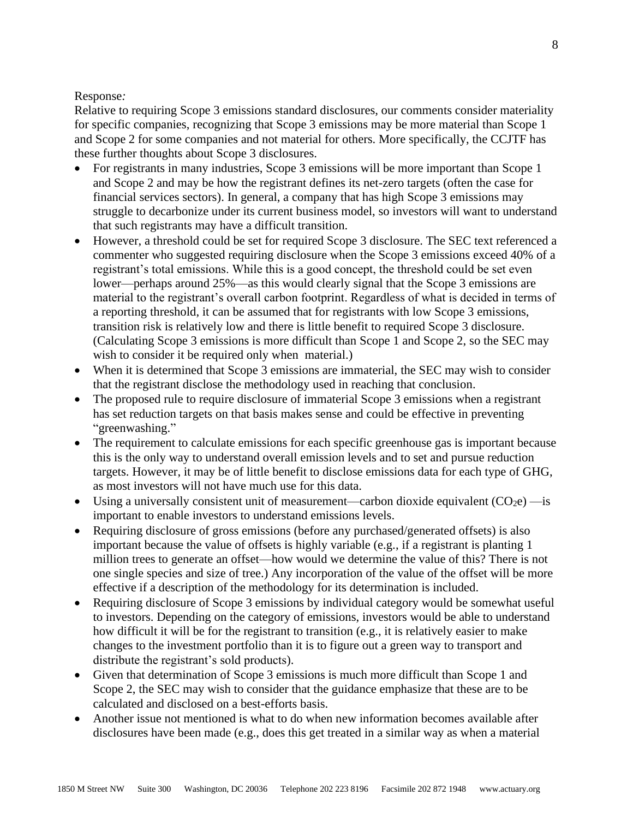# Response*:*

Relative to requiring Scope 3 emissions standard disclosures, our comments consider materiality for specific companies, recognizing that Scope 3 emissions may be more material than Scope 1 and Scope 2 for some companies and not material for others. More specifically, the CCJTF has these further thoughts about Scope 3 disclosures.

- For registrants in many industries, Scope 3 emissions will be more important than Scope 1 and Scope 2 and may be how the registrant defines its net-zero targets (often the case for financial services sectors). In general, a company that has high Scope 3 emissions may struggle to decarbonize under its current business model, so investors will want to understand that such registrants may have a difficult transition.
- However, a threshold could be set for required Scope 3 disclosure. The SEC text referenced a commenter who suggested requiring disclosure when the Scope 3 emissions exceed 40% of a registrant's total emissions. While this is a good concept, the threshold could be set even lower—perhaps around 25%—as this would clearly signal that the Scope 3 emissions are material to the registrant's overall carbon footprint. Regardless of what is decided in terms of a reporting threshold, it can be assumed that for registrants with low Scope 3 emissions, transition risk is relatively low and there is little benefit to required Scope 3 disclosure. (Calculating Scope 3 emissions is more difficult than Scope 1 and Scope 2, so the SEC may wish to consider it be required only when material.)
- When it is determined that Scope 3 emissions are immaterial, the SEC may wish to consider that the registrant disclose the methodology used in reaching that conclusion.
- The proposed rule to require disclosure of immaterial Scope 3 emissions when a registrant has set reduction targets on that basis makes sense and could be effective in preventing "greenwashing."
- The requirement to calculate emissions for each specific greenhouse gas is important because this is the only way to understand overall emission levels and to set and pursue reduction targets. However, it may be of little benefit to disclose emissions data for each type of GHG, as most investors will not have much use for this data.
- Using a universally consistent unit of measurement—carbon dioxide equivalent  $(CO_2e)$  —is important to enable investors to understand emissions levels.
- Requiring disclosure of gross emissions (before any purchased/generated offsets) is also important because the value of offsets is highly variable (e.g., if a registrant is planting 1 million trees to generate an offset—how would we determine the value of this? There is not one single species and size of tree.) Any incorporation of the value of the offset will be more effective if a description of the methodology for its determination is included.
- Requiring disclosure of Scope 3 emissions by individual category would be somewhat useful to investors. Depending on the category of emissions, investors would be able to understand how difficult it will be for the registrant to transition (e.g., it is relatively easier to make changes to the investment portfolio than it is to figure out a green way to transport and distribute the registrant's sold products).
- Given that determination of Scope 3 emissions is much more difficult than Scope 1 and Scope 2, the SEC may wish to consider that the guidance emphasize that these are to be calculated and disclosed on a best-efforts basis.
- Another issue not mentioned is what to do when new information becomes available after disclosures have been made (e.g., does this get treated in a similar way as when a material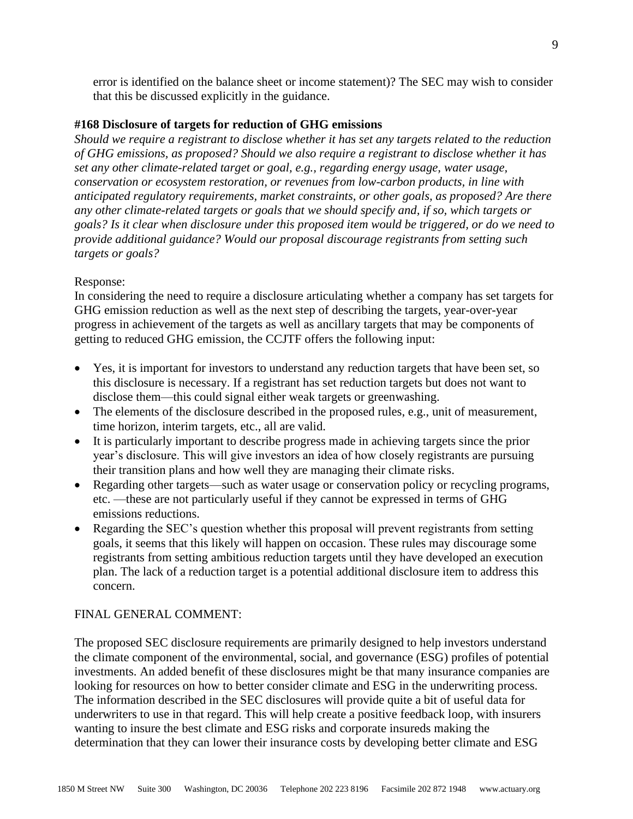error is identified on the balance sheet or income statement)? The SEC may wish to consider that this be discussed explicitly in the guidance.

### **#168 Disclosure of targets for reduction of GHG emissions**

*Should we require a registrant to disclose whether it has set any targets related to the reduction of GHG emissions, as proposed? Should we also require a registrant to disclose whether it has set any other climate-related target or goal, e.g., regarding energy usage, water usage, conservation or ecosystem restoration, or revenues from low-carbon products, in line with anticipated regulatory requirements, market constraints, or other goals, as proposed? Are there any other climate-related targets or goals that we should specify and, if so, which targets or goals? Is it clear when disclosure under this proposed item would be triggered, or do we need to provide additional guidance? Would our proposal discourage registrants from setting such targets or goals?*

#### Response:

In considering the need to require a disclosure articulating whether a company has set targets for GHG emission reduction as well as the next step of describing the targets, year-over-year progress in achievement of the targets as well as ancillary targets that may be components of getting to reduced GHG emission, the CCJTF offers the following input:

- Yes, it is important for investors to understand any reduction targets that have been set, so this disclosure is necessary. If a registrant has set reduction targets but does not want to disclose them—this could signal either weak targets or greenwashing.
- The elements of the disclosure described in the proposed rules, e.g., unit of measurement, time horizon, interim targets, etc., all are valid.
- It is particularly important to describe progress made in achieving targets since the prior year's disclosure. This will give investors an idea of how closely registrants are pursuing their transition plans and how well they are managing their climate risks.
- Regarding other targets—such as water usage or conservation policy or recycling programs, etc. —these are not particularly useful if they cannot be expressed in terms of GHG emissions reductions.
- Regarding the SEC's question whether this proposal will prevent registrants from setting goals, it seems that this likely will happen on occasion. These rules may discourage some registrants from setting ambitious reduction targets until they have developed an execution plan. The lack of a reduction target is a potential additional disclosure item to address this concern.

## FINAL GENERAL COMMENT:

The proposed SEC disclosure requirements are primarily designed to help investors understand the climate component of the environmental, social, and governance (ESG) profiles of potential investments. An added benefit of these disclosures might be that many insurance companies are looking for resources on how to better consider climate and ESG in the underwriting process. The information described in the SEC disclosures will provide quite a bit of useful data for underwriters to use in that regard. This will help create a positive feedback loop, with insurers wanting to insure the best climate and ESG risks and corporate insureds making the determination that they can lower their insurance costs by developing better climate and ESG